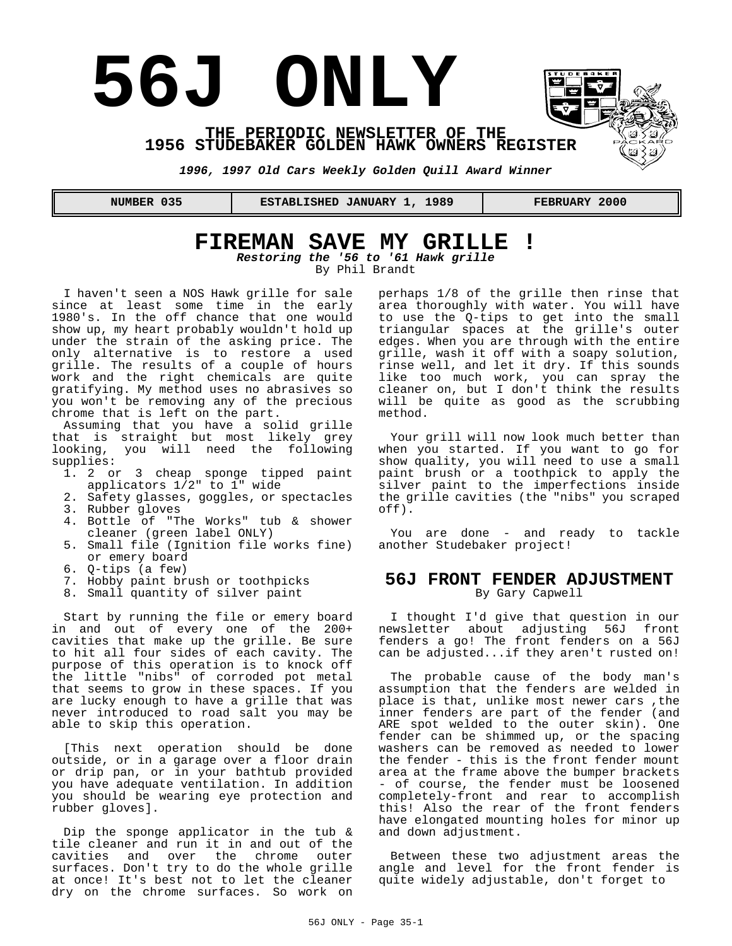# **56J ONLY**



**THE PERIODIC NEWSLETTER OF THE 1956 STUDEBAKER GOLDEN HAWK OWNERS REGISTER** 

*1996, 1997 Old Cars Weekly Golden Quill Award Winner*

 **NUMBER 035 ESTABLISHED JANUARY 1, 1989 FEBRUARY 2000**

# **FIREMAN SAVE MY GRILLE !**

*Restoring the '56 to '61 Hawk grille* By Phil Brandt

I haven't seen a NOS Hawk grille for sale since at least some time in the early 1980's. In the off chance that one would show up, my heart probably wouldn't hold up under the strain of the asking price. The only alternative is to restore a used grille. The results of a couple of hours work and the right chemicals are quite gratifying. My method uses no abrasives so you won't be removing any of the precious chrome that is left on the part.

Assuming that you have a solid grille that is straight but most likely grey looking, you will need the following supplies:

- 1. 2 or 3 cheap sponge tipped paint applicators 1/2" to 1" wide
- 2. Safety glasses, goggles, or spectacles
- 3. Rubber gloves
- 4. Bottle of "The Works" tub & shower cleaner (green label ONLY)
- 5. Small file (Ignition file works fine) or emery board
- 6. Q-tips (a few)
- 7. Hobby paint brush or toothpicks
- 8. Small quantity of silver paint

Start by running the file or emery board in and out of every one of the 200+ cavities that make up the grille. Be sure to hit all four sides of each cavity. The purpose of this operation is to knock off the little "nibs" of corroded pot metal that seems to grow in these spaces. If you are lucky enough to have a grille that was never introduced to road salt you may be able to skip this operation.

[This next operation should be done outside, or in a garage over a floor drain or drip pan, or in your bathtub provided you have adequate ventilation. In addition you should be wearing eye protection and rubber gloves].

Dip the sponge applicator in the tub & tile cleaner and run it in and out of the cavities and over the chrome outer surfaces. Don't try to do the whole grille at once! It's best not to let the cleaner dry on the chrome surfaces. So work on perhaps 1/8 of the grille then rinse that area thoroughly with water. You will have to use the Q-tips to get into the small triangular spaces at the grille's outer edges. When you are through with the entire grille, wash it off with a soapy solution, rinse well, and let it dry. If this sounds like too much work, you can spray the cleaner on, but I don't think the results will be quite as good as the scrubbing method.

Your grill will now look much better than when you started. If you want to go for show quality, you will need to use a small paint brush or a toothpick to apply the silver paint to the imperfections inside the grille cavities (the "nibs" you scraped off).

You are done - and ready to tackle another Studebaker project!

## **56J FRONT FENDER ADJUSTMENT** By Gary Capwell

I thought I'd give that question in our newsletter about adjusting 56J front fenders a go! The front fenders on a 56J can be adjusted...if they aren't rusted on!

The probable cause of the body man's assumption that the fenders are welded in place is that, unlike most newer cars ,the inner fenders are part of the fender (and ARE spot welded to the outer skin). One fender can be shimmed up, or the spacing washers can be removed as needed to lower the fender - this is the front fender mount area at the frame above the bumper brackets - of course, the fender must be loosened completely-front and rear to accomplish this! Also the rear of the front fenders have elongated mounting holes for minor up and down adjustment.

Between these two adjustment areas the angle and level for the front fender is quite widely adjustable, don't forget to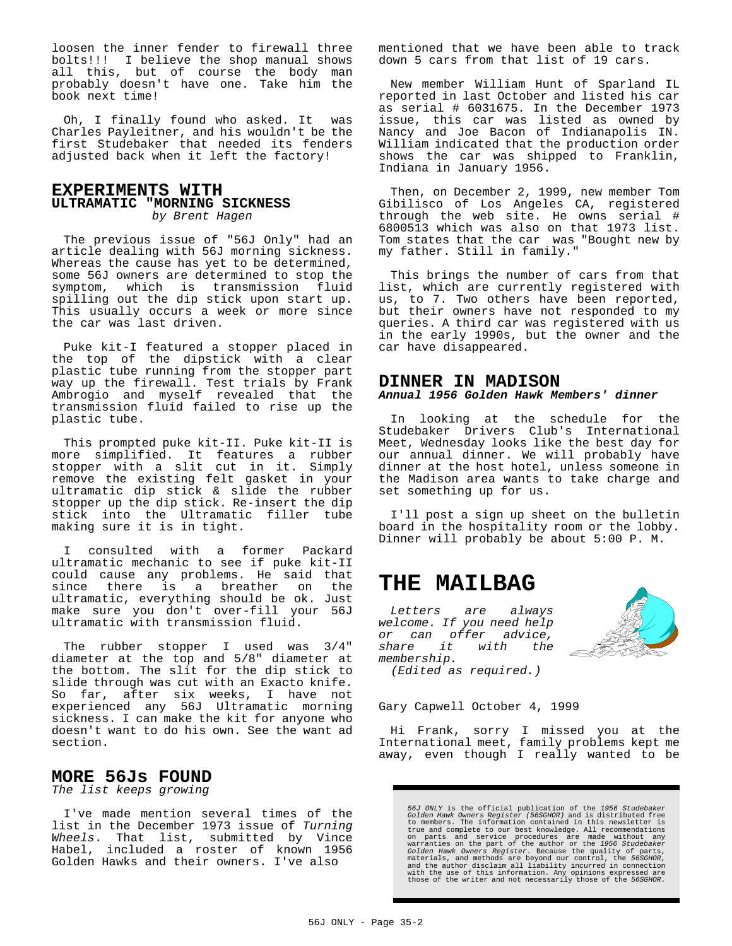loosen the inner fender to firewall three bolts!!! I believe the shop manual shows all this, but of course the body man probably doesn't have one. Take him the book next time!

Oh, I finally found who asked. It was Charles Payleitner, and his wouldn't be the first Studebaker that needed its fenders adjusted back when it left the factory!

#### **EXPERIMENTS WITH ULTRAMATIC "MORNING SICKNESS** *by Brent Hagen*

The previous issue of "56J Only" had an article dealing with 56J morning sickness. Whereas the cause has yet to be determined, some 56J owners are determined to stop the symptom, which is transmission fluid spilling out the dip stick upon start up. This usually occurs a week or more since the car was last driven.

Puke kit-I featured a stopper placed in the top of the dipstick with a clear plastic tube running from the stopper part way up the firewall. Test trials by Frank Ambrogio and myself revealed that the transmission fluid failed to rise up the plastic tube.

This prompted puke kit-II. Puke kit-II is more simplified. It features a rubber stopper with a slit cut in it. Simply remove the existing felt gasket in your ultramatic dip stick & slide the rubber stopper up the dip stick. Re-insert the dip stick into the Ultramatic filler tube making sure it is in tight.

consulted with a former Packard ultramatic mechanic to see if puke kit-II could cause any problems. He said that since there is a breather on the ultramatic, everything should be ok. Just make sure you don't over-fill your 56J ultramatic with transmission fluid.

The rubber stopper I used was 3/4" diameter at the top and 5/8" diameter at the bottom. The slit for the dip stick to slide through was cut with an Exacto knife. So far, after six weeks, I have not experienced any 56J Ultramatic morning sickness. I can make the kit for anyone who doesn't want to do his own. See the want ad section.

## **MORE 56Js FOUND**

*The list keeps growing*

I've made mention several times of the list in the December 1973 issue of *Turning Wheels*. That list, submitted by Vince Habel, included a roster of known 1956 Golden Hawks and their owners. I've also

mentioned that we have been able to track down 5 cars from that list of 19 cars.

New member William Hunt of Sparland IL reported in last October and listed his car as serial # 6031675. In the December 1973 issue, this car was listed as owned by Nancy and Joe Bacon of Indianapolis IN. William indicated that the production order shows the car was shipped to Franklin, Indiana in January 1956.

Then, on December 2, 1999, new member Tom Gibilisco of Los Angeles CA, registered through the web site. He owns serial # 6800513 which was also on that 1973 list. Tom states that the car was "Bought new by my father. Still in family."

This brings the number of cars from that list, which are currently registered with us, to 7. Two others have been reported, but their owners have not responded to my queries. A third car was registered with us in the early 1990s, but the owner and the car have disappeared.

### **DINNER IN MADISON** *Annual 1956 Golden Hawk Members' dinner*

In looking at the schedule for the Studebaker Drivers Club's International Meet, Wednesday looks like the best day for our annual dinner. We will probably have dinner at the host hotel, unless someone in the Madison area wants to take charge and set something up for us.

I'll post a sign up sheet on the bulletin board in the hospitality room or the lobby. Dinner will probably be about 5:00 P. M.

# **THE MAILBAG**

*Letters are always welcome. If you need help or can offer advice, share it with the membership. (Edited as required.)*



Gary Capwell October 4, 1999

Hi Frank, sorry I missed you at the International meet, family problems kept me away, even though I really wanted to be

56J ONLY is the official publication of the 1956 Studebaker<br>Golden Hawk Owners Register (56SGHOR) and is distributed free<br>to members. The information contained in this newsletter is<br>true and complete to our best knowledge.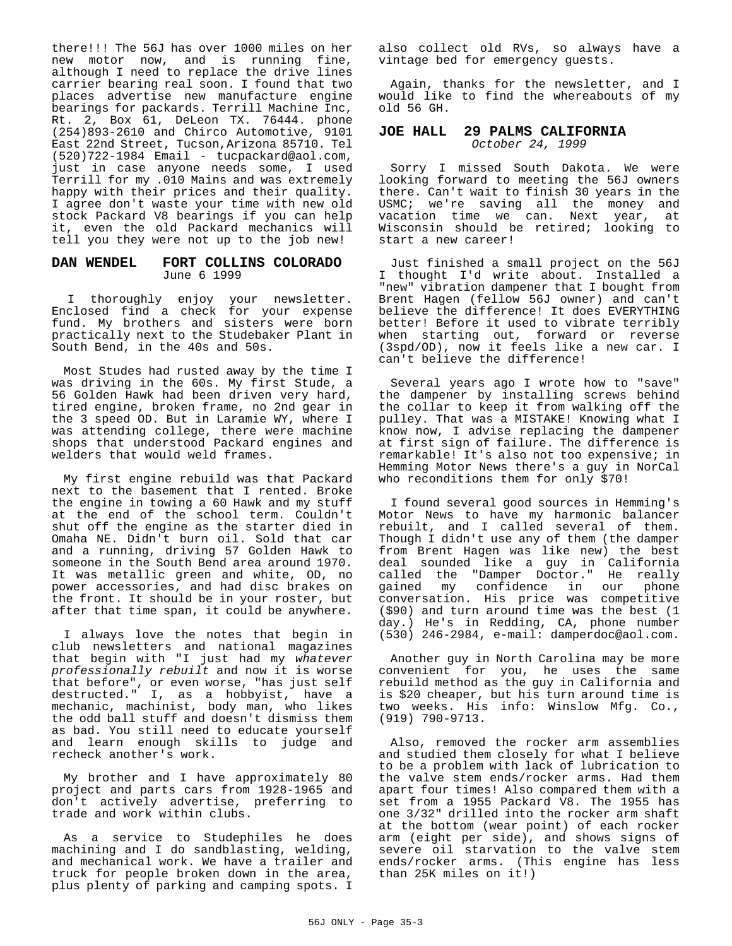there!!! The 56J has over 1000 miles on her new motor now, and is running fine, although I need to replace the drive lines carrier bearing real soon. I found that two places advertise new manufacture engine bearings for packards. Terrill Machine Inc, Rt. 2, Box 61, DeLeon TX. 76444. phone (254)893-2610 and Chirco Automotive, 9101 East 22nd Street, Tucson,Arizona 85710. Tel (520)722-1984 Email - tucpackard@aol.com, just in case anyone needs some, I used Terrill for my .010 Mains and was extremely happy with their prices and their quality. I agree don't waste your time with new old stock Packard V8 bearings if you can help it, even the old Packard mechanics will tell you they were not up to the job new!

#### **DAN WENDEL FORT COLLINS COLORADO** June 6 1999

 I thoroughly enjoy your newsletter. Enclosed find a check for your expense fund. My brothers and sisters were born practically next to the Studebaker Plant in South Bend, in the 40s and 50s.

Most Studes had rusted away by the time I was driving in the 60s. My first Stude, a 56 Golden Hawk had been driven very hard, tired engine, broken frame, no 2nd gear in the 3 speed OD. But in Laramie WY, where I was attending college, there were machine shops that understood Packard engines and welders that would weld frames.

My first engine rebuild was that Packard next to the basement that I rented. Broke the engine in towing a 60 Hawk and my stuff at the end of the school term. Couldn't shut off the engine as the starter died in Omaha NE. Didn't burn oil. Sold that car and a running, driving 57 Golden Hawk to someone in the South Bend area around 1970. It was metallic green and white, OD, no power accessories, and had disc brakes on the front. It should be in your roster, but after that time span, it could be anywhere.

I always love the notes that begin in club newsletters and national magazines that begin with "I just had my *whatever professionally rebuilt* and now it is worse that before", or even worse, "has just self destructed." I, as a hobbyist, have a mechanic, machinist, body man, who likes the odd ball stuff and doesn't dismiss them as bad. You still need to educate yourself and learn enough skills to judge and recheck another's work.

My brother and I have approximately 80 project and parts cars from 1928-1965 and don't actively advertise, preferring to trade and work within clubs.

As a service to Studephiles he does machining and I do sandblasting, welding, and mechanical work. We have a trailer and truck for people broken down in the area, plus plenty of parking and camping spots. I

also collect old RVs, so always have a vintage bed for emergency guests.

Again, thanks for the newsletter, and I would like to find the whereabouts of my old 56 GH.

#### **JOE HALL 29 PALMS CALIFORNIA** *October 24, 1999*

Sorry I missed South Dakota. We were looking forward to meeting the 56J owners there. Can't wait to finish 30 years in the USMC; we're saving all the money and vacation time we can. Next year, at Wisconsin should be retired; looking to start a new career!

Just finished a small project on the 56J I thought I'd write about. Installed a "new" vibration dampener that I bought from Brent Hagen (fellow 56J owner) and can't believe the difference! It does EVERYTHING better! Before it used to vibrate terribly when starting out, forward or reverse (3spd/OD), now it feels like a new car. I can't believe the difference!

Several years ago I wrote how to "save" the dampener by installing screws behind the collar to keep it from walking off the pulley. That was a MISTAKE! Knowing what I know now, I advise replacing the dampener at first sign of failure. The difference is remarkable! It's also not too expensive; in Hemming Motor News there's a guy in NorCal who reconditions them for only \$70!

I found several good sources in Hemming's Motor News to have my harmonic balancer rebuilt, and I called several of them. Though I didn't use any of them (the damper from Brent Hagen was like new) the best deal sounded like a guy in California called the "Damper Doctor." He really gained my confidence in our phone conversation. His price was competitive (\$90) and turn around time was the best (1 day.) He's in Redding, CA, phone number (530) 246-2984, e-mail: damperdoc@aol.com.

Another guy in North Carolina may be more convenient for you, he uses the same rebuild method as the guy in California and is \$20 cheaper, but his turn around time is two weeks. His info: Winslow Mfg. Co., (919) 790-9713.

Also, removed the rocker arm assemblies and studied them closely for what I believe to be a problem with lack of lubrication to the valve stem ends/rocker arms. Had them apart four times! Also compared them with a set from a 1955 Packard V8. The 1955 has one 3/32" drilled into the rocker arm shaft at the bottom (wear point) of each rocker arm (eight per side), and shows signs of severe oil starvation to the valve stem ends/rocker arms. (This engine has less than 25K miles on it!)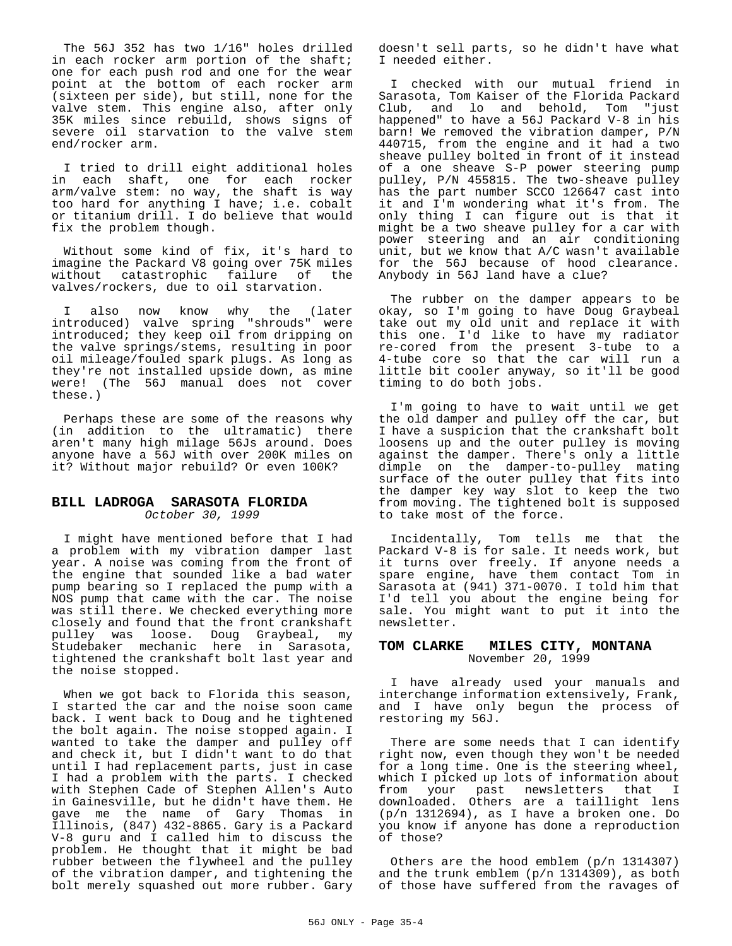The 56J 352 has two 1/16" holes drilled in each rocker arm portion of the shaft; one for each push rod and one for the wear point at the bottom of each rocker arm (sixteen per side), but still, none for the valve stem. This engine also, after only 35K miles since rebuild, shows signs of severe oil starvation to the valve stem end/rocker arm.

I tried to drill eight additional holes in each shaft, one for each rocker arm/valve stem: no way, the shaft is way too hard for anything I have; i.e. cobalt or titanium drill. I do believe that would fix the problem though.

Without some kind of fix, it's hard to imagine the Packard V8 going over 75K miles without catastrophic failure of the valves/rockers, due to oil starvation.

I also now know why the (later introduced) valve spring "shrouds" were introduced; they keep oil from dripping on the valve springs/stems, resulting in poor oil mileage/fouled spark plugs. As long as they're not installed upside down, as mine were! (The 56J manual does not cover these.)

Perhaps these are some of the reasons why (in addition to the ultramatic) there aren't many high milage 56Js around. Does anyone have a 56J with over 200K miles on it? Without major rebuild? Or even 100K?

#### **BILL LADROGA SARASOTA FLORIDA** *October 30, 1999*

I might have mentioned before that I had a problem with my vibration damper last year. A noise was coming from the front of the engine that sounded like a bad water pump bearing so I replaced the pump with a NOS pump that came with the car. The noise was still there. We checked everything more closely and found that the front crankshaft pulley was loose. Doug Graybeal, my Studebaker mechanic here in Sarasota, tightened the crankshaft bolt last year and the noise stopped.

When we got back to Florida this season, I started the car and the noise soon came back. I went back to Doug and he tightened the bolt again. The noise stopped again. I wanted to take the damper and pulley off and check it, but I didn't want to do that until I had replacement parts, just in case I had a problem with the parts. I checked with Stephen Cade of Stephen Allen's Auto in Gainesville, but he didn't have them. He gave me the name of Gary Thomas in Illinois, (847) 432-8865. Gary is a Packard V-8 guru and I called him to discuss the problem. He thought that it might be bad rubber between the flywheel and the pulley of the vibration damper, and tightening the bolt merely squashed out more rubber. Gary doesn't sell parts, so he didn't have what I needed either.

I checked with our mutual friend in Sarasota, Tom Kaiser of the Florida Packard Club, and lo and behold, Tom "just happened" to have a 56J Packard V-8 in his barn! We removed the vibration damper, P/N 440715, from the engine and it had a two sheave pulley bolted in front of it instead of a one sheave S-P power steering pump pulley, P/N 455815. The two-sheave pulley has the part number SCCO 126647 cast into it and I'm wondering what it's from. The only thing I can figure out is that it might be a two sheave pulley for a car with power steering and an air conditioning unit, but we know that A/C wasn't available for the 56J because of hood clearance. Anybody in 56J land have a clue?

The rubber on the damper appears to be okay, so I'm going to have Doug Graybeal take out my old unit and replace it with this one. I'd like to have my radiator re-cored from the present 3-tube to a 4-tube core so that the car will run a little bit cooler anyway, so it'll be good timing to do both jobs.

I'm going to have to wait until we get the old damper and pulley off the car, but I have a suspicion that the crankshaft bolt loosens up and the outer pulley is moving against the damper. There's only a little dimple on the damper-to-pulley mating surface of the outer pulley that fits into the damper key way slot to keep the two from moving. The tightened bolt is supposed to take most of the force.

Incidentally, Tom tells me that the Packard V-8 is for sale. It needs work, but it turns over freely. If anyone needs a spare engine, have them contact Tom in Sarasota at (941) 371-0070. I told him that I'd tell you about the engine being for sale. You might want to put it into the newsletter.

#### **TOM CLARKE MILES CITY, MONTANA** November 20, 1999

I have already used your manuals and interchange information extensively, Frank, and I have only begun the process of restoring my 56J.

There are some needs that I can identify right now, even though they won't be needed for a long time. One is the steering wheel, which I picked up lots of information about from your past newsletters that I downloaded. Others are a taillight lens (p/n 1312694), as I have a broken one. Do you know if anyone has done a reproduction of those?

Others are the hood emblem (p/n 1314307) and the trunk emblem (p/n 1314309), as both of those have suffered from the ravages of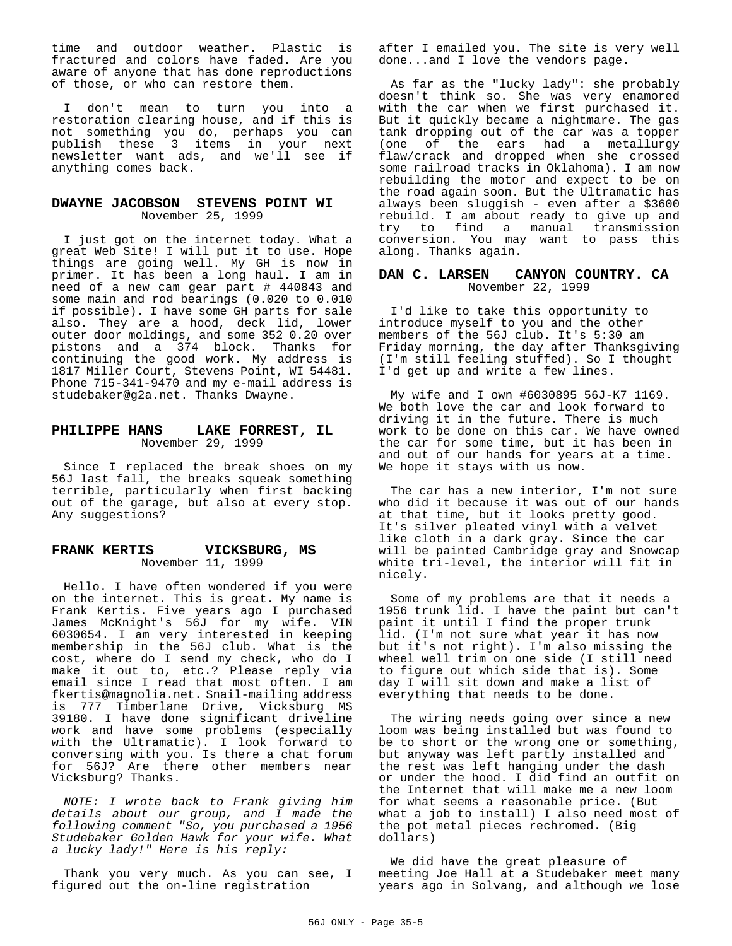time and outdoor weather. Plastic is fractured and colors have faded. Are you aware of anyone that has done reproductions of those, or who can restore them.

I don't mean to turn you into a restoration clearing house, and if this is not something you do, perhaps you can publish these 3 items in your next newsletter want ads, and we'll see if anything comes back.

#### **DWAYNE JACOBSON STEVENS POINT WI** November 25, 1999

I just got on the internet today. What a great Web Site! I will put it to use. Hope things are going well. My GH is now in primer. It has been a long haul. I am in need of a new cam gear part # 440843 and some main and rod bearings (0.020 to 0.010 if possible). I have some GH parts for sale also. They are a hood, deck lid, lower outer door moldings, and some 352 0.20 over pistons and a 374 block. Thanks for continuing the good work. My address is 1817 Miller Court, Stevens Point, WI 54481. Phone 715-341-9470 and my e-mail address is studebaker@g2a.net. Thanks Dwayne.

#### **PHILIPPE HANS LAKE FORREST, IL** November 29, 1999

Since I replaced the break shoes on my 56J last fall, the breaks squeak something terrible, particularly when first backing out of the garage, but also at every stop. Any suggestions?

#### **FRANK KERTIS VICKSBURG, MS** November 11, 1999

Hello. I have often wondered if you were on the internet. This is great. My name is Frank Kertis. Five years ago I purchased James McKnight's 56J for my wife. VIN 6030654. I am very interested in keeping membership in the 56J club. What is the cost, where do I send my check, who do I make it out to, etc.? Please reply via email since I read that most often. I am fkertis@magnolia.net. Snail-mailing address is 777 Timberlane Drive, Vicksburg MS 39180. I have done significant driveline work and have some problems (especially with the Ultramatic). I look forward to conversing with you. Is there a chat forum for 56J? Are there other members near Vicksburg? Thanks.

*NOTE: I wrote back to Frank giving him details about our group, and I made the following comment "So, you purchased a 1956 Studebaker Golden Hawk for your wife. What a lucky lady!" Here is his reply:*

Thank you very much. As you can see, I figured out the on-line registration

after I emailed you. The site is very well done...and I love the vendors page.

As far as the "lucky lady": she probably doesn't think so. She was very enamored with the car when we first purchased it. But it quickly became a nightmare. The gas tank dropping out of the car was a topper (one of the ears had a metallurgy flaw/crack and dropped when she crossed some railroad tracks in Oklahoma). I am now rebuilding the motor and expect to be on the road again soon. But the Ultramatic has always been sluggish - even after a \$3600 rebuild. I am about ready to give up and try to find a manual transmission conversion. You may want to pass this along. Thanks again.

#### **DAN C. LARSEN CANYON COUNTRY. CA** November 22, 1999

I'd like to take this opportunity to introduce myself to you and the other members of the 56J club. It's 5:30 am Friday morning, the day after Thanksgiving (I'm still feeling stuffed). So I thought I'd get up and write a few lines.

My wife and I own #6030895 56J-K7 1169. We both love the car and look forward to driving it in the future. There is much work to be done on this car. We have owned the car for some time, but it has been in and out of our hands for years at a time. We hope it stays with us now.

The car has a new interior, I'm not sure who did it because it was out of our hands at that time, but it looks pretty good. It's silver pleated vinyl with a velvet like cloth in a dark gray. Since the car will be painted Cambridge gray and Snowcap white tri-level, the interior will fit in nicely.

Some of my problems are that it needs a 1956 trunk lid. I have the paint but can't paint it until I find the proper trunk lid. (I'm not sure what year it has now but it's not right). I'm also missing the wheel well trim on one side (I still need to figure out which side that is). Some day I will sit down and make a list of everything that needs to be done.

The wiring needs going over since a new loom was being installed but was found to be to short or the wrong one or something, but anyway was left partly installed and the rest was left hanging under the dash or under the hood. I did find an outfit on the Internet that will make me a new loom for what seems a reasonable price. (But what a job to install) I also need most of the pot metal pieces rechromed. (Big dollars)

We did have the great pleasure of meeting Joe Hall at a Studebaker meet many years ago in Solvang, and although we lose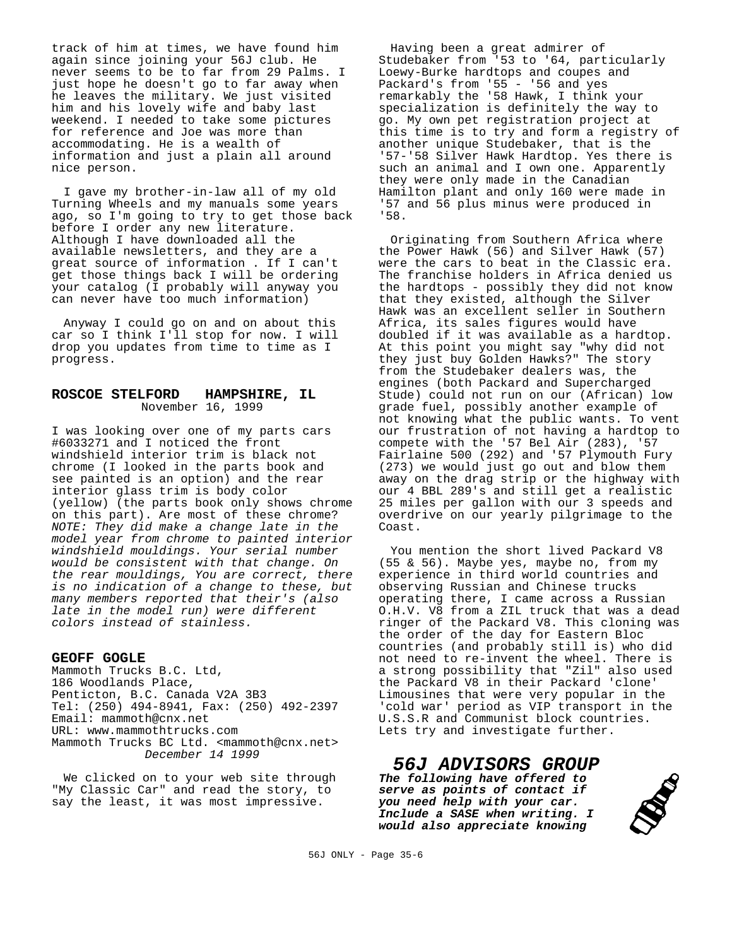track of him at times, we have found him again since joining your 56J club. He never seems to be to far from 29 Palms. I just hope he doesn't go to far away when he leaves the military. We just visited him and his lovely wife and baby last weekend. I needed to take some pictures for reference and Joe was more than accommodating. He is a wealth of information and just a plain all around nice person.

I gave my brother-in-law all of my old Turning Wheels and my manuals some years ago, so I'm going to try to get those back before I order any new literature. Although I have downloaded all the available newsletters, and they are a great source of information . If I can't get those things back I will be ordering your catalog (I probably will anyway you can never have too much information)

Anyway I could go on and on about this car so I think I'll stop for now. I will drop you updates from time to time as I progress.

#### **ROSCOE STELFORD HAMPSHIRE, IL** November 16, 1999

I was looking over one of my parts cars #6033271 and I noticed the front windshield interior trim is black not chrome (I looked in the parts book and see painted is an option) and the rear interior glass trim is body color (yellow) (the parts book only shows chrome on this part). Are most of these chrome? *NOTE: They did make a change late in the model year from chrome to painted interior windshield mouldings. Your serial number would be consistent with that change. On the rear mouldings, You are correct, there is no indication of a change to these, but many members reported that their's (also late in the model run) were different colors instead of stainless.*

#### **GEOFF GOGLE**

Mammoth Trucks B.C. Ltd, 186 Woodlands Place, Penticton, B.C. Canada V2A 3B3 Tel: (250) 494-8941, Fax: (250) 492-2397 Email: mammoth@cnx.net URL: www.mammothtrucks.com Mammoth Trucks BC Ltd. <mammoth@cnx.net> *December 14 1999*

We clicked on to your web site through "My Classic Car" and read the story, to say the least, it was most impressive.

Having been a great admirer of Studebaker from '53 to '64, particularly Loewy-Burke hardtops and coupes and Packard's from '55 - '56 and yes remarkably the '58 Hawk, I think your specialization is definitely the way to go. My own pet registration project at this time is to try and form a registry of another unique Studebaker, that is the '57-'58 Silver Hawk Hardtop. Yes there is such an animal and I own one. Apparently they were only made in the Canadian Hamilton plant and only 160 were made in '57 and 56 plus minus were produced in '58.

Originating from Southern Africa where the Power Hawk (56) and Silver Hawk (57) were the cars to beat in the Classic era. The franchise holders in Africa denied us the hardtops - possibly they did not know that they existed, although the Silver Hawk was an excellent seller in Southern Africa, its sales figures would have doubled if it was available as a hardtop. At this point you might say "why did not they just buy Golden Hawks?" The story from the Studebaker dealers was, the engines (both Packard and Supercharged Stude) could not run on our (African) low grade fuel, possibly another example of not knowing what the public wants. To vent our frustration of not having a hardtop to compete with the '57 Bel Air  $(283)$ , '57 Fairlaine 500 (292) and '57 Plymouth Fury (273) we would just go out and blow them away on the drag strip or the highway with our 4 BBL 289's and still get a realistic 25 miles per gallon with our 3 speeds and overdrive on our yearly pilgrimage to the Coast.

You mention the short lived Packard V8 (55 & 56). Maybe yes, maybe no, from my experience in third world countries and observing Russian and Chinese trucks operating there, I came across a Russian O.H.V. V8 from a ZIL truck that was a dead ringer of the Packard V8. This cloning was the order of the day for Eastern Bloc countries (and probably still is) who did not need to re-invent the wheel. There is a strong possibility that "Zil" also used the Packard V8 in their Packard 'clone' Limousines that were very popular in the 'cold war' period as VIP transport in the U.S.S.R and Communist block countries. Lets try and investigate further.

#### *56J ADVISORS GROUP The following have offered to serve as points of contact if*

*you need help with your car. Include a SASE when writing. I would also appreciate knowing*

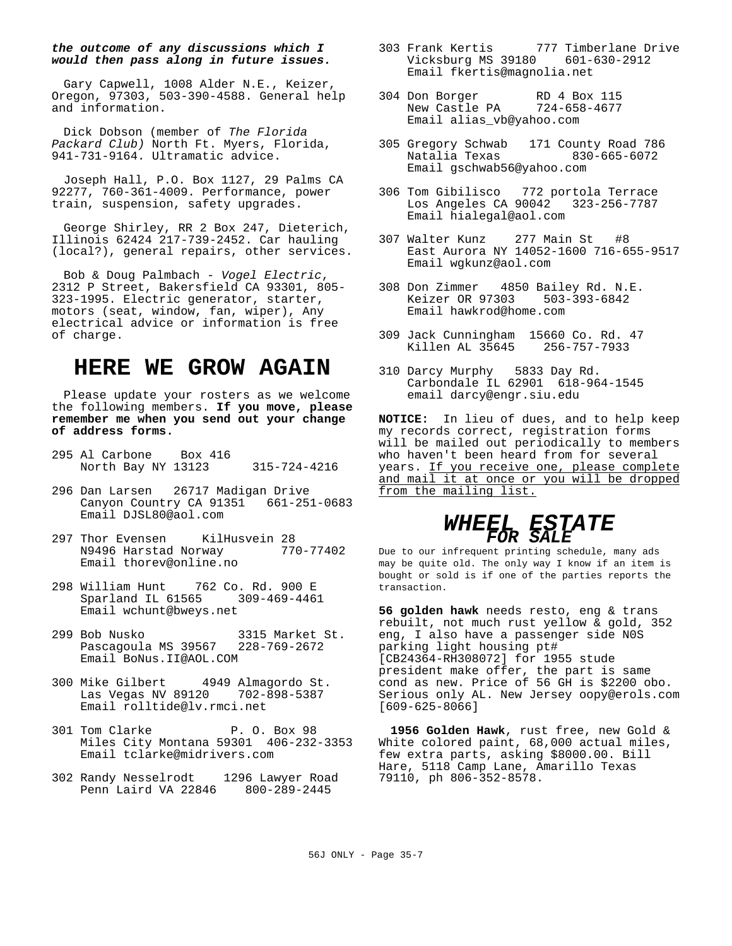#### *the outcome of any discussions which I would then pass along in future issues.*

Gary Capwell, 1008 Alder N.E., Keizer, Oregon, 97303, 503-390-4588. General help and information.

Dick Dobson (member of *The Florida Packard Club)* North Ft. Myers, Florida, 941-731-9164. Ultramatic advice.

Joseph Hall, P.O. Box 1127, 29 Palms CA 92277, 760-361-4009. Performance, power train, suspension, safety upgrades.

George Shirley, RR 2 Box 247, Dieterich, Illinois 62424 217-739-2452. Car hauling (local?), general repairs, other services.

Bob & Doug Palmbach - *Vogel Electric*, 2312 P Street, Bakersfield CA 93301, 805- 323-1995. Electric generator, starter, motors (seat, window, fan, wiper), Any electrical advice or information is free of charge.

# **HERE WE GROW AGAIN**

Please update your rosters as we welcome the following members. **If you move, please remember me when you send out your change of address forms.**

- 295 Al Carbone Box 416 North Bay NY 13123 315-724-4216
- 296 Dan Larsen 26717 Madigan Drive Canyon Country CA 91351 661-251-0683 Email DJSL80@aol.com
- 297 Thor Evensen KilHusvein 28<br>N9496 Harstad Norway 770-77402 N9496 Harstad Norway Email thorev@online.no
- 298 William Hunt 762 Co. Rd. 900 E Sparland IL 61565 309-469-4461 Email wchunt@bweys.net
- 299 Bob Nusko 3315 Market St. Pascagoula MS 39567 228-769-2672 Email BoNus.II@AOL.COM
- 300 Mike Gilbert 4949 Almagordo St. Las Vegas NV 89120 702-898-5387 Email rolltide@lv.rmci.net
- 301 Tom Clarke P. O. Box 98 Miles City Montana 59301 406-232-3353 Email tclarke@midrivers.com
- 302 Randy Nesselrodt 1296 Lawyer Road Penn Laird VA 22846 800-289-2445
- 303 Frank Kertis 777 Timberlane Drive Vicksburg MS 39180 601-630-2912 Email fkertis@magnolia.net
- 304 Don Borger RD 4 Box 115<br>New Castle PA 724-658-4677 New Castle PA Email alias\_vb@yahoo.com
- 305 Gregory Schwab 171 County Road 786 Natalia Texas Email gschwab56@yahoo.com
- 306 Tom Gibilisco 772 portola Terrace Los Angeles CA 90042 323-256-7787 Email hialegal@aol.com
- 307 Walter Kunz 277 Main St #8 East Aurora NY 14052-1600 716-655-9517 Email wgkunz@aol.com
- 308 Don Zimmer 4850 Bailey Rd. N.E. Keizer OR 97303 503-393-6842 Email hawkrod@home.com
- 309 Jack Cunningham 15660 Co. Rd. 47 Killen AL 35645 256-757-7933
- 310 Darcy Murphy 5833 Day Rd. Carbondale IL 62901 618-964-1545 email darcy@engr.siu.edu

**NOTICE:** In lieu of dues, and to help keep my records correct, registration forms will be mailed out periodically to members who haven't been heard from for several years. If you receive one, please complete and mail it at once or you will be dropped from the mailing list.

## *WHEEL ESTATE FOR SALE*

Due to our infrequent printing schedule, many ads may be quite old. The only way I know if an item is bought or sold is if one of the parties reports the transaction.

**56 golden hawk** needs resto, eng & trans rebuilt, not much rust yellow & gold, 352 eng, I also have a passenger side N0S parking light housing pt# [CB24364-RH308072] for 1955 stude president make offer, the part is same cond as new. Price of 56 GH is \$2200 obo. Serious only AL. New Jersey oopy@erols.com [609-625-8066]

**1956 Golden Hawk**, rust free, new Gold & White colored paint, 68,000 actual miles, few extra parts, asking \$8000.00. Bill Hare, 5118 Camp Lane, Amarillo Texas 79110, ph 806-352-8578.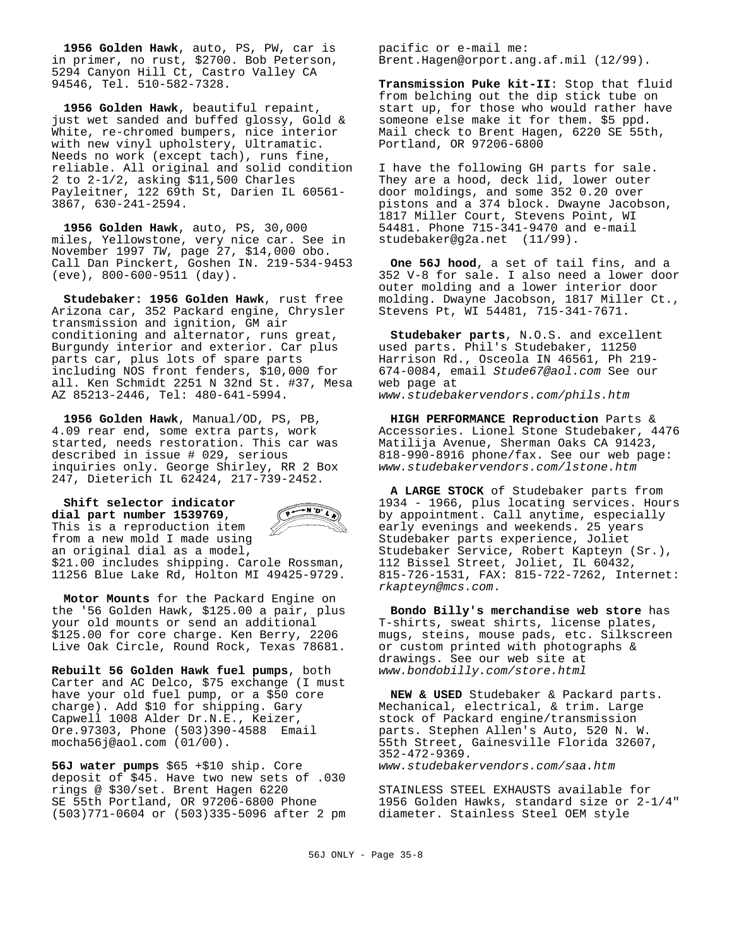**1956 Golden Hawk**, auto, PS, PW, car is in primer, no rust, \$2700. Bob Peterson, 5294 Canyon Hill Ct, Castro Valley CA 94546, Tel. 510-582-7328.

**1956 Golden Hawk**, beautiful repaint, just wet sanded and buffed glossy, Gold & White, re-chromed bumpers, nice interior with new vinyl upholstery, Ultramatic. Needs no work (except tach), runs fine, reliable. All original and solid condition 2 to 2-1/2, asking \$11,500 Charles Payleitner, 122 69th St, Darien IL 60561- 3867, 630-241-2594.

**1956 Golden Hawk**, auto, PS, 30,000 miles, Yellowstone, very nice car. See in November 1997 *TW*, page 27, \$14,000 obo. Call Dan Pinckert, Goshen IN. 219-534-9453 (eve), 800-600-9511 (day).

**Studebaker: 1956 Golden Hawk**, rust free Arizona car, 352 Packard engine, Chrysler transmission and ignition, GM air conditioning and alternator, runs great, Burgundy interior and exterior. Car plus parts car, plus lots of spare parts including NOS front fenders, \$10,000 for all. Ken Schmidt 2251 N 32nd St. #37, Mesa AZ 85213-2446, Tel: 480-641-5994.

**1956 Golden Hawk**, Manual/OD, PS, PB, 4.09 rear end, some extra parts, work started, needs restoration. This car was described in issue # 029, serious inquiries only. George Shirley, RR 2 Box 247, Dieterich IL 62424, 217-739-2452.

 $\overrightarrow{P}$ **Shift selector indicator dial part number 1539769**, This is a reproduction item from a new mold I made using an original dial as a model, \$21.00 includes shipping. Carole Rossman, 11256 Blue Lake Rd, Holton MI 49425-9729.

**Motor Mounts** for the Packard Engine on the '56 Golden Hawk, \$125.00 a pair, plus your old mounts or send an additional \$125.00 for core charge. Ken Berry, 2206 Live Oak Circle, Round Rock, Texas 78681.

**Rebuilt 56 Golden Hawk fuel pumps**, both Carter and AC Delco, \$75 exchange (I must have your old fuel pump, or a \$50 core charge). Add \$10 for shipping. Gary Capwell 1008 Alder Dr.N.E., Keizer, Ore.97303, Phone (503)390-4588 Email mocha56j@aol.com (01/00).

**56J water pumps** \$65 +\$10 ship. Core deposit of \$45. Have two new sets of .030 rings @ \$30/set. Brent Hagen 6220 SE 55th Portland, OR 97206-6800 Phone (503)771-0604 or (503)335-5096 after 2 pm pacific or e-mail me: Brent.Hagen@orport.ang.af.mil (12/99).

**Transmission Puke kit-II**: Stop that fluid from belching out the dip stick tube on start up, for those who would rather have someone else make it for them. \$5 ppd. Mail check to Brent Hagen, 6220 SE 55th, Portland, OR 97206-6800

I have the following GH parts for sale. They are a hood, deck lid, lower outer door moldings, and some 352 0.20 over pistons and a 374 block. Dwayne Jacobson, 1817 Miller Court, Stevens Point, WI 54481. Phone 715-341-9470 and e-mail studebaker@g2a.net (11/99).

**One 56J hood**, a set of tail fins, and a 352 V-8 for sale. I also need a lower door outer molding and a lower interior door molding. Dwayne Jacobson, 1817 Miller Ct., Stevens Pt, WI 54481, 715-341-7671.

**Studebaker parts**, N.O.S. and excellent used parts. Phil's Studebaker, 11250 Harrison Rd., Osceola IN 46561, Ph 219- 674-0084, email *Stude67@aol.com* See our web page at *www.studebakervendors.com/phils.htm*

**HIGH PERFORMANCE Reproduction** Parts & Accessories. Lionel Stone Studebaker, 4476 Matilija Avenue, Sherman Oaks CA 91423, 818-990-8916 phone/fax. See our web page: *www.studebakervendors.com/lstone.htm*

**A LARGE STOCK** of Studebaker parts from 1934 - 1966, plus locating services. Hours by appointment. Call anytime, especially early evenings and weekends. 25 years Studebaker parts experience, Joliet Studebaker Service, Robert Kapteyn (Sr.), 112 Bissel Street, Joliet, IL 60432, 815-726-1531, FAX: 815-722-7262, Internet: *rkapteyn@mcs.com*.

**Bondo Billy's merchandise web store** has T-shirts, sweat shirts, license plates, mugs, steins, mouse pads, etc. Silkscreen or custom printed with photographs & drawings. See our web site at *www.bondobilly.com/store.html*

**NEW & USED** Studebaker & Packard parts. Mechanical, electrical, & trim. Large stock of Packard engine/transmission parts. Stephen Allen's Auto, 520 N. W. 55th Street, Gainesville Florida 32607, 352-472-9369. *www.studebakervendors.com/saa.htm*

STAINLESS STEEL EXHAUSTS available for 1956 Golden Hawks, standard size or 2-1/4" diameter. Stainless Steel OEM style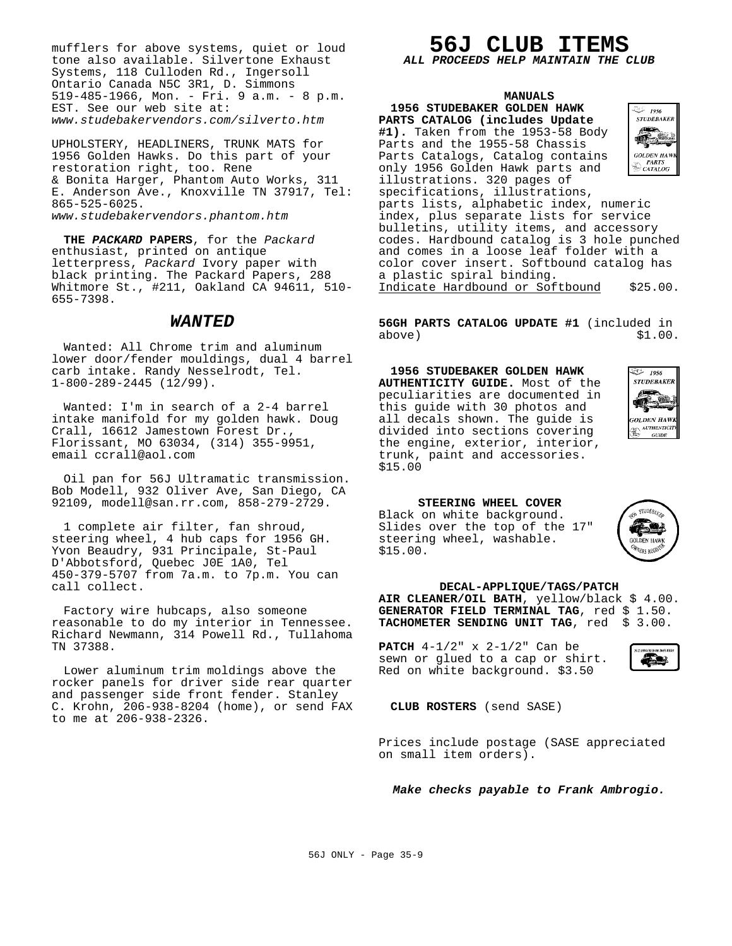mufflers for above systems, quiet or loud tone also available. Silvertone Exhaust Systems, 118 Culloden Rd., Ingersoll Ontario Canada N5C 3R1, D. Simmons 519-485-1966, Mon. - Fri. 9 a.m. - 8 p.m. EST. See our web site at: *www.studebakervendors.com/silverto.htm*

UPHOLSTERY, HEADLINERS, TRUNK MATS for 1956 Golden Hawks. Do this part of your restoration right, too. Rene & Bonita Harger, Phantom Auto Works, 311 E. Anderson Ave., Knoxville TN 37917, Tel: 865-525-6025. *www.studebakervendors.phantom.htm*

**THE** *PACKARD* **PAPERS**, for the *Packard* enthusiast, printed on antique letterpress, *Packard* Ivory paper with black printing. The Packard Papers, 288 Whitmore St., #211, Oakland CA 94611, 510- 655-7398.

#### *WANTED*

Wanted: All Chrome trim and aluminum lower door/fender mouldings, dual 4 barrel carb intake. Randy Nesselrodt, Tel. 1-800-289-2445 (12/99).

Wanted: I'm in search of a 2-4 barrel intake manifold for my golden hawk. Doug Crall, 16612 Jamestown Forest Dr., Florissant, MO 63034, (314) 355-9951, email ccrall@aol.com

Oil pan for 56J Ultramatic transmission. Bob Modell, 932 Oliver Ave, San Diego, CA 92109, modell@san.rr.com, 858-279-2729.

1 complete air filter, fan shroud, steering wheel, 4 hub caps for 1956 GH. Yvon Beaudry, 931 Principale, St-Paul D'Abbotsford, Quebec J0E 1A0, Tel 450-379-5707 from 7a.m. to 7p.m. You can call collect.

Factory wire hubcaps, also someone reasonable to do my interior in Tennessee. Richard Newmann, 314 Powell Rd., Tullahoma TN 37388.

Lower aluminum trim moldings above the rocker panels for driver side rear quarter and passenger side front fender. Stanley C. Krohn, 206-938-8204 (home), or send FAX to me at 206-938-2326.

# **56J CLUB ITEMS**

#### *ALL PROCEEDS HELP MAINTAIN THE CLUB*

| <b>MANUALS</b>                             |                   |
|--------------------------------------------|-------------------|
| 1956 STUDEBAKER GOLDEN HAWK                | 1956 - تاپ        |
| PARTS CATALOG (includes Update             | <b>STUDEBAKEE</b> |
| #1). Taken from the 1953-58 Body           |                   |
| Parts and the 1955-58 Chassis              |                   |
| Parts Catalogs, Catalog contains           |                   |
| only 1956 Golden Hawk parts and            |                   |
| illustrations. 320 pages of                |                   |
| specifications, illustrations,             |                   |
| parts lists, alphabetic index, numeric     |                   |
| index, plus separate lists for service     |                   |
| bulletins, utility items, and accessory    |                   |
| codes. Hardbound catalog is 3 hole punched |                   |
| and comes in a loose leaf folder with a    |                   |
| color cover insert. Softbound catalog has  |                   |
| a plastic spiral binding.                  |                   |
| Indicate Hardbound or Softbound            | \$25.00.          |

**56GH PARTS CATALOG UPDATE #1** (included in  $above)$   $$1.00.$ 

**1956 STUDEBAKER GOLDEN HAWK AUTHENTICITY GUIDE.** Most of the peculiarities are documented in this guide with 30 photos and all decals shown. The guide is divided into sections covering the engine, exterior, interior, trunk, paint and accessories. \$15.00



**STUDERA** 

**NFRC BFG** 

**STEERING WHEEL COVER** Black on white background.

\$15.00.

Slides over the top of the 17" steering wheel, washable.



#### **DECAL-APPLIQUE/TAGS/PATCH**

**AIR CLEANER/OIL BATH**, yellow/black \$ 4.00. GENERATOR FIELD TERMINAL TAG, red \$ 1.50. **TACHOMETER SENDING UNIT TAG**, red \$ 3.00.

**PATCH** 4-1/2" x 2-1/2" Can be sewn or glued to a cap or shirt. Red on white background. \$3.50



**CLUB ROSTERS** (send SASE)

Prices include postage (SASE appreciated on small item orders).